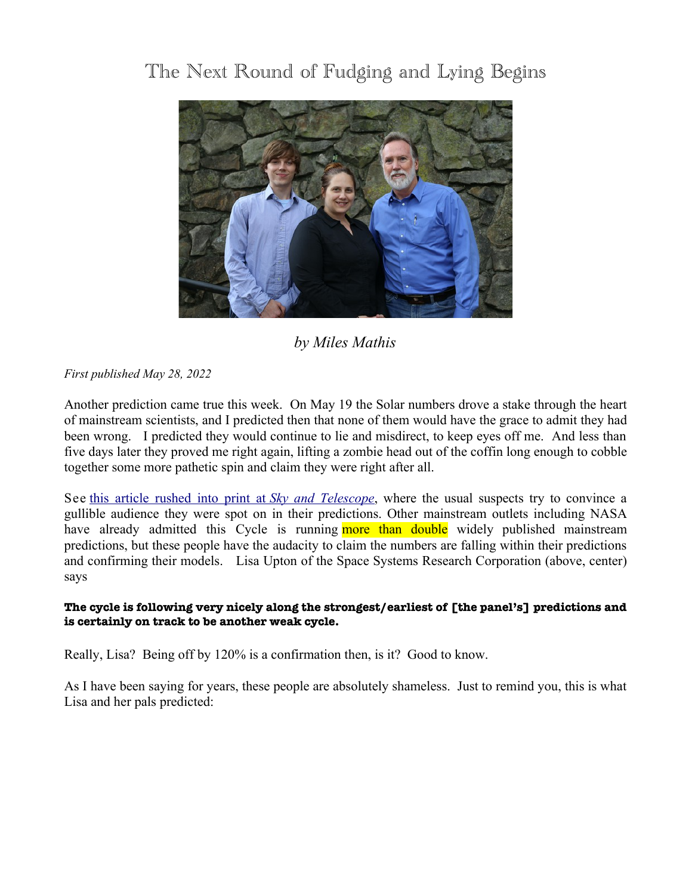# The Next Round of Fudging and Lying Begins



# *by Miles Mathis*

*First published May 28, 2022*

Another prediction came true this week. On May 19 the Solar numbers drove a stake through the heart of mainstream scientists, and I predicted then that none of them would have the grace to admit they had been wrong. I predicted they would continue to lie and misdirect, to keep eyes off me. And less than five days later they proved me right again, lifting a zombie head out of the coffin long enough to cobble together some more pathetic spin and claim they were right after all.

See [this article rushed into print at](https://skyandtelescope.org/astronomy-news/the-sun-is-waking-up-right-on-schedule/) *[Sky and Telescope](https://skyandtelescope.org/astronomy-news/the-sun-is-waking-up-right-on-schedule/)*, where the usual suspects try to convince a gullible audience they were spot on in their predictions. Other mainstream outlets including NASA have already admitted this Cycle is running more than double widely published mainstream predictions, but these people have the audacity to claim the numbers are falling within their predictions and confirming their models. Lisa Upton of the Space Systems Research Corporation (above, center) says

## **The cycle is following very nicely along the strongest/earliest of [the panel's] predictions and is certainly on track to be another weak cycle.**

Really, Lisa? Being off by 120% is a confirmation then, is it? Good to know.

As I have been saying for years, these people are absolutely shameless. Just to remind you, this is what Lisa and her pals predicted: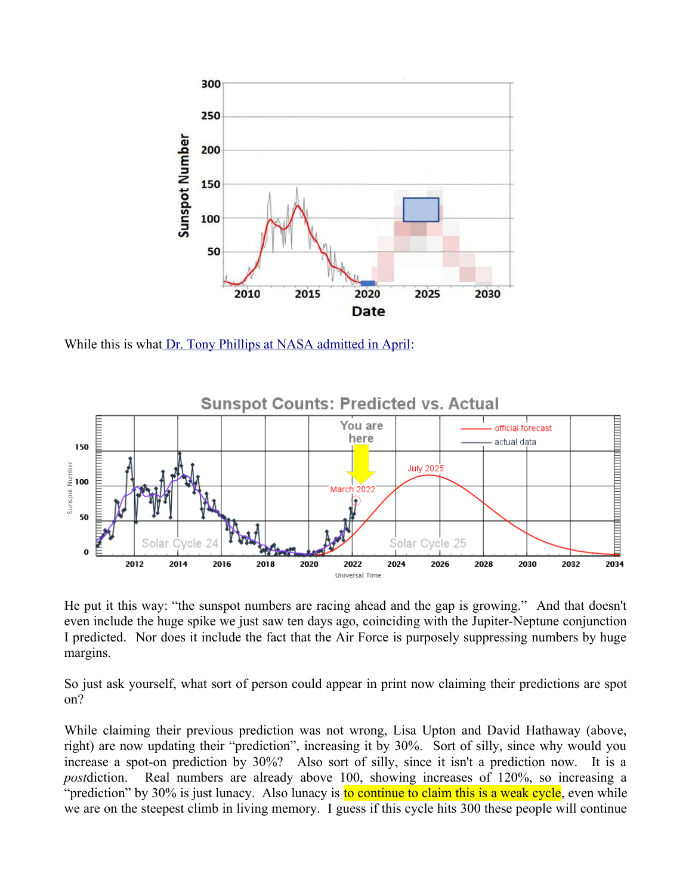

While this is wha[t Dr. Tony Phillips at NASA admitted in April:](https://spaceweatherarchive.com/2022/04/06/solar-cycle-update-the-gap-is-growing/)



He put it this way: "the sunspot numbers are racing ahead and the gap is growing." And that doesn't even include the huge spike we just saw ten days ago, coinciding with the Jupiter-Neptune conjunction I predicted. Nor does it include the fact that the Air Force is purposely suppressing numbers by huge margins.

So just ask yourself, what sort of person could appear in print now claiming their predictions are spot on?

While claiming their previous prediction was not wrong, Lisa Upton and David Hathaway (above, right) are now updating their "prediction", increasing it by 30%. Sort of silly, since why would you increase a spot-on prediction by 30%? Also sort of silly, since it isn't a prediction now. It is a *post*diction. Real numbers are already above 100, showing increases of 120%, so increasing a "prediction" by 30% is just lunacy. Also lunacy is to continue to claim this is a weak cycle, even while we are on the steepest climb in living memory. I guess if this cycle hits 300 these people will continue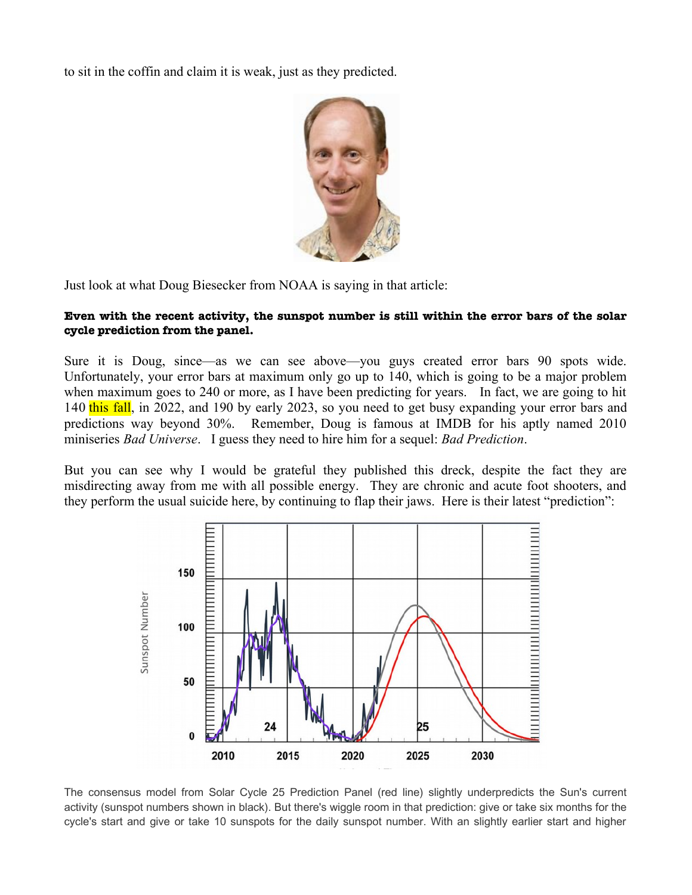to sit in the coffin and claim it is weak, just as they predicted.



Just look at what Doug Biesecker from NOAA is saying in that article:

#### **Even with the recent activity, the sunspot number is still within the error bars of the solar cycle prediction from the panel.**

Sure it is Doug, since—as we can see above—you guys created error bars 90 spots wide. Unfortunately, your error bars at maximum only go up to 140, which is going to be a major problem when maximum goes to 240 or more, as I have been predicting for years. In fact, we are going to hit 140 this fall, in 2022, and 190 by early 2023, so you need to get busy expanding your error bars and predictions way beyond 30%. Remember, Doug is famous at IMDB for his aptly named 2010 miniseries *Bad Universe*. I guess they need to hire him for a sequel: *Bad Prediction*.

But you can see why I would be grateful they published this dreck, despite the fact they are misdirecting away from me with all possible energy. They are chronic and acute foot shooters, and they perform the usual suicide here, by continuing to flap their jaws. Here is their latest "prediction":



The consensus model from Solar Cycle 25 Prediction Panel (red line) slightly underpredicts the Sun's current activity (sunspot numbers shown in black). But there's wiggle room in that prediction: give or take six months for the cycle's start and give or take 10 sunspots for the daily sunspot number. With an slightly earlier start and higher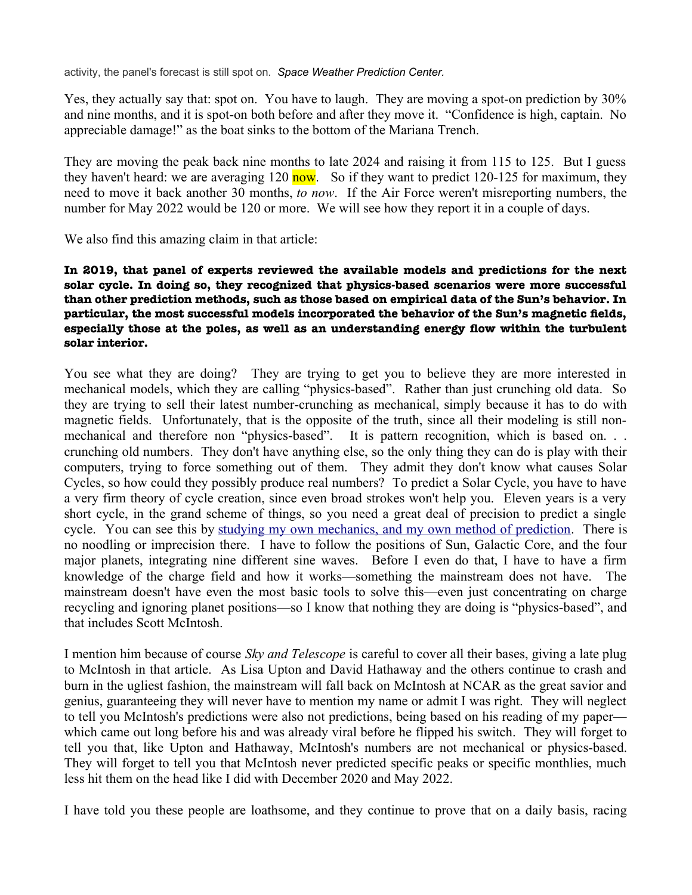activity, the panel's forecast is still spot on. *Space Weather Prediction Center.*

Yes, they actually say that: spot on. You have to laugh. They are moving a spot-on prediction by 30% and nine months, and it is spot-on both before and after they move it. "Confidence is high, captain. No appreciable damage!" as the boat sinks to the bottom of the Mariana Trench.

They are moving the peak back nine months to late 2024 and raising it from 115 to 125. But I guess they haven't heard: we are averaging 120 now. So if they want to predict 120-125 for maximum, they need to move it back another 30 months, *to now*. If the Air Force weren't misreporting numbers, the number for May 2022 would be 120 or more. We will see how they report it in a couple of days.

We also find this amazing claim in that article:

### **In 2019, that panel of experts reviewed the available models and predictions for the next solar cycle. In doing so, they recognized that physics-based scenarios were more successful than other prediction methods, such as those based on empirical data of the Sun's behavior. In particular, the most successful models incorporated the behavior of the Sun's magnetic felds, especially those at the poles, as well as an understanding energy fow within the turbulent solar interior.**

You see what they are doing? They are trying to get you to believe they are more interested in mechanical models, which they are calling "physics-based". Rather than just crunching old data. So they are trying to sell their latest number-crunching as mechanical, simply because it has to do with magnetic fields. Unfortunately, that is the opposite of the truth, since all their modeling is still nonmechanical and therefore non "physics-based". It is pattern recognition, which is based on. . . crunching old numbers. They don't have anything else, so the only thing they can do is play with their computers, trying to force something out of them. They admit they don't know what causes Solar Cycles, so how could they possibly produce real numbers? To predict a Solar Cycle, you have to have a very firm theory of cycle creation, since even broad strokes won't help you. Eleven years is a very short cycle, in the grand scheme of things, so you need a great deal of precision to predict a single cycle. You can see this by [studying my own mechanics, and my own method of prediction.](http://milesmathis.com/goody.pdf) There is no noodling or imprecision there. I have to follow the positions of Sun, Galactic Core, and the four major planets, integrating nine different sine waves. Before I even do that, I have to have a firm knowledge of the charge field and how it works—something the mainstream does not have. The mainstream doesn't have even the most basic tools to solve this—even just concentrating on charge recycling and ignoring planet positions—so I know that nothing they are doing is "physics-based", and that includes Scott McIntosh.

I mention him because of course *Sky and Telescope* is careful to cover all their bases, giving a late plug to McIntosh in that article. As Lisa Upton and David Hathaway and the others continue to crash and burn in the ugliest fashion, the mainstream will fall back on McIntosh at NCAR as the great savior and genius, guaranteeing they will never have to mention my name or admit I was right. They will neglect to tell you McIntosh's predictions were also not predictions, being based on his reading of my paper which came out long before his and was already viral before he flipped his switch. They will forget to tell you that, like Upton and Hathaway, McIntosh's numbers are not mechanical or physics-based. They will forget to tell you that McIntosh never predicted specific peaks or specific monthlies, much less hit them on the head like I did with December 2020 and May 2022.

I have told you these people are loathsome, and they continue to prove that on a daily basis, racing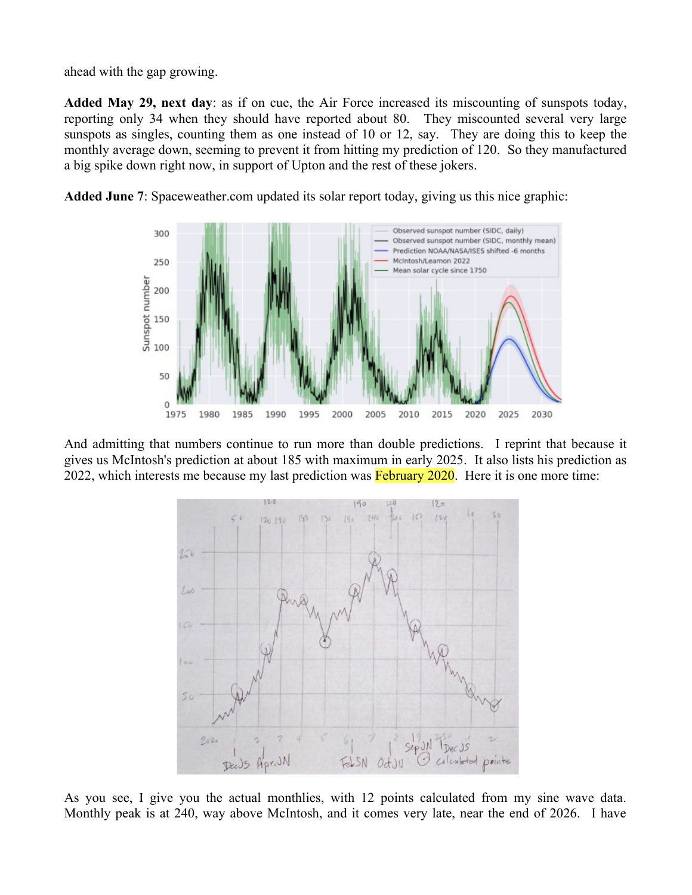ahead with the gap growing.

**Added May 29, next day**: as if on cue, the Air Force increased its miscounting of sunspots today, reporting only 34 when they should have reported about 80. They miscounted several very large sunspots as singles, counting them as one instead of 10 or 12, say. They are doing this to keep the monthly average down, seeming to prevent it from hitting my prediction of 120. So they manufactured a big spike down right now, in support of Upton and the rest of these jokers.



**Added June 7**: Spaceweather.com updated its solar report today, giving us this nice graphic:

And admitting that numbers continue to run more than double predictions. I reprint that because it gives us McIntosh's prediction at about 185 with maximum in early 2025. It also lists his prediction as 2022, which interests me because my last prediction was February 2020. Here it is one more time:



As you see, I give you the actual monthlies, with 12 points calculated from my sine wave data. Monthly peak is at 240, way above McIntosh, and it comes very late, near the end of 2026. I have